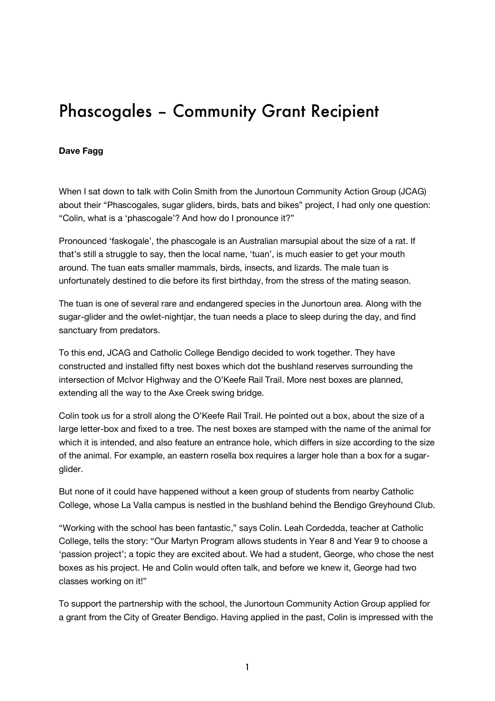## Phascogales – Community Grant Recipient

## **Dave Fagg**

When I sat down to talk with Colin Smith from the Junortoun Community Action Group (JCAG) about their "Phascogales, sugar gliders, birds, bats and bikes" project, I had only one question: "Colin, what is a 'phascogale'? And how do I pronounce it?"

Pronounced 'faskogale', the phascogale is an Australian marsupial about the size of a rat. If that's still a struggle to say, then the local name, 'tuan', is much easier to get your mouth around. The tuan eats smaller mammals, birds, insects, and lizards. The male tuan is unfortunately destined to die before its first birthday, from the stress of the mating season.

The tuan is one of several rare and endangered species in the Junortoun area. Along with the sugar-glider and the owlet-nightjar, the tuan needs a place to sleep during the day, and find sanctuary from predators.

To this end, JCAG and Catholic College Bendigo decided to work together. They have constructed and installed fifty nest boxes which dot the bushland reserves surrounding the intersection of McIvor Highway and the O'Keefe Rail Trail. More nest boxes are planned, extending all the way to the Axe Creek swing bridge.

Colin took us for a stroll along the O'Keefe Rail Trail. He pointed out a box, about the size of a large letter-box and fixed to a tree. The nest boxes are stamped with the name of the animal for which it is intended, and also feature an entrance hole, which differs in size according to the size of the animal. For example, an eastern rosella box requires a larger hole than a box for a sugarglider.

But none of it could have happened without a keen group of students from nearby Catholic College, whose La Valla campus is nestled in the bushland behind the Bendigo Greyhound Club.

"Working with the school has been fantastic," says Colin. Leah Cordedda, teacher at Catholic College, tells the story: "Our Martyn Program allows students in Year 8 and Year 9 to choose a 'passion project'; a topic they are excited about. We had a student, George, who chose the nest boxes as his project. He and Colin would often talk, and before we knew it, George had two classes working on it!"

To support the partnership with the school, the Junortoun Community Action Group applied for a grant from the City of Greater Bendigo. Having applied in the past, Colin is impressed with the